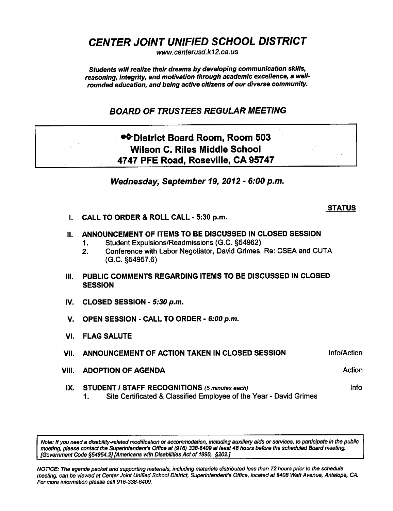CENTER JOINT UNIFIED SCHOOL DISTRICT

www. centerusd. k12.ca.us

Students will realize their dreams by developing communication skills, reasoning, integrity, and motivation through academic excellence, a wellrounded education, and being active citizens of our diverse community.

BOARD OF TRUSTEES REGULAR MEETING

## •^District Board Room, Room 503 Wilson C. Riles Middle School 4747 PFE Road, Roseville, CA 95747

Wednesday, September 19, 2012 - 6:00 p.m.

## STATUS

- I. CALL TO ORDER & ROLL CALL 5:30 p.m.
- II. ANNOUNCEMENT OF ITEMS TO BE DISCUSSED IN CLOSED SESSION
	- 1. Student Expulsions/Readmissions (G.C. §54962)
	- 2. Conference with Labor Negotiator, David Grimes, Re: CSEA and CUTA (G.C. §54957.6)
- III. PUBLIC COMMENTS REGARDING ITEMS TO BE DISCUSSED IN CLOSED **SESSION**
- IV. CLOSED SESSION  $-5:30$  p.m.
- V. OPEN SESSION CALL TO ORDER 6:00 p.m.
- VI. FLAG SALUTE
- VII. ANNOUNCEMENT OF ACTION TAKEN IN CLOSED SESSION **Info/Action**
- VIII. ADOPTION OF AGENDA Action Action Action Action
- IX. STUDENT / STAFF RECOGNITIONS  $(5 \text{ minutes each})$ 
	- 1. Site Certificated & Classified Employee of the Year David Grimes

Note: If you need a disability-related modification or accommodation, including auxiliary aids or services, to participate in the public meeting, please contact the Superintendent's Office at (916) 338-6409 at least 48 hours before the scheduled Board meeting. [Government Code §54954.2] [Americans with Disabilities Act of 1990, §202.]

NOTICE: The agenda packet and supporting materials, including materials distributed less than 72 hours prior to the schedule meeting, can be viewed at Center Joint Unified School District, Superintendent's Office, located at 8408 Watt Avenue, Antelope, CA. For more information please call 916-338-6409.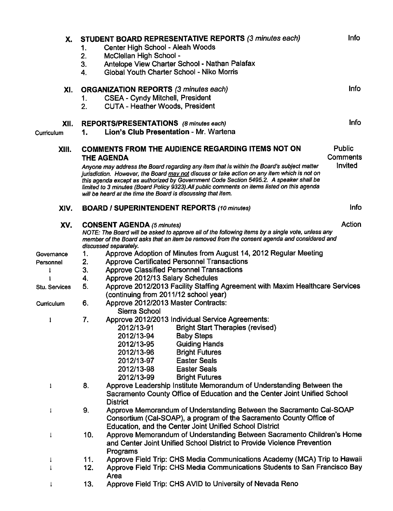| Х.            | 1.<br>2.<br>3.                                                                                                                                                                                                                                                                                                                                                                                                                                                | STUDENT BOARD REPRESENTATIVE REPORTS (3 minutes each)<br>Center High School - Aleah Woods<br>McClellan High School -<br>Antelope View Charter School - Nathan Palafax                                               | Info |  |  |  |
|---------------|---------------------------------------------------------------------------------------------------------------------------------------------------------------------------------------------------------------------------------------------------------------------------------------------------------------------------------------------------------------------------------------------------------------------------------------------------------------|---------------------------------------------------------------------------------------------------------------------------------------------------------------------------------------------------------------------|------|--|--|--|
|               | 4.                                                                                                                                                                                                                                                                                                                                                                                                                                                            | Global Youth Charter School - Niko Morris                                                                                                                                                                           |      |  |  |  |
| XI.           |                                                                                                                                                                                                                                                                                                                                                                                                                                                               | <b>ORGANIZATION REPORTS (3 minutes each)</b>                                                                                                                                                                        | Info |  |  |  |
|               | 1.                                                                                                                                                                                                                                                                                                                                                                                                                                                            | <b>CSEA - Cyndy Mitchell, President</b>                                                                                                                                                                             |      |  |  |  |
|               | 2.                                                                                                                                                                                                                                                                                                                                                                                                                                                            | <b>CUTA - Heather Woods, President</b>                                                                                                                                                                              |      |  |  |  |
| XII.          |                                                                                                                                                                                                                                                                                                                                                                                                                                                               | Info<br>REPORTS/PRESENTATIONS (8 minutes each)                                                                                                                                                                      |      |  |  |  |
| Curriculum    | 1.                                                                                                                                                                                                                                                                                                                                                                                                                                                            | Lion's Club Presentation - Mr. Wartena                                                                                                                                                                              |      |  |  |  |
| XIII.         | COMMENTS FROM THE AUDIENCE REGARDING ITEMS NOT ON<br>THE AGENDA                                                                                                                                                                                                                                                                                                                                                                                               | Public<br><b>Comments</b>                                                                                                                                                                                           |      |  |  |  |
|               | Invited<br>Anyone may address the Board regarding any item that is within the Board's subject matter<br>jurisdiction. However, the Board may not discuss or take action on any item which is not on<br>this agenda except as authorized by Government Code Section 5495.2. A speaker shall be<br>limited to 3 minutes (Board Policy 9323). All public comments on items listed on this agenda<br>will be heard at the time the Board is discussing that item. |                                                                                                                                                                                                                     |      |  |  |  |
| XIV.          |                                                                                                                                                                                                                                                                                                                                                                                                                                                               | <b>BOARD / SUPERINTENDENT REPORTS (10 minutes)</b>                                                                                                                                                                  | Info |  |  |  |
| XV.           | Action<br><b>CONSENT AGENDA (5 minutes)</b><br>NOTE: The Board will be asked to approve all of the following items by a single vote, unless any<br>member of the Board asks that an item be removed from the consent agenda and considered and<br>discussed separately.                                                                                                                                                                                       |                                                                                                                                                                                                                     |      |  |  |  |
| Governance    | 1.                                                                                                                                                                                                                                                                                                                                                                                                                                                            | Approve Adoption of Minutes from August 14, 2012 Regular Meeting                                                                                                                                                    |      |  |  |  |
| Personnel     | 2.                                                                                                                                                                                                                                                                                                                                                                                                                                                            | <b>Approve Certificated Personnel Transactions</b>                                                                                                                                                                  |      |  |  |  |
|               | 3.                                                                                                                                                                                                                                                                                                                                                                                                                                                            | <b>Approve Classified Personnel Transactions</b>                                                                                                                                                                    |      |  |  |  |
|               | 4.                                                                                                                                                                                                                                                                                                                                                                                                                                                            | Approve 2012/13 Salary Schedules                                                                                                                                                                                    |      |  |  |  |
| Stu. Services | 5.                                                                                                                                                                                                                                                                                                                                                                                                                                                            | Approve 2012/2013 Facility Staffing Agreement with Maxim Healthcare Services                                                                                                                                        |      |  |  |  |
|               |                                                                                                                                                                                                                                                                                                                                                                                                                                                               | (continuing from 2011/12 school year)                                                                                                                                                                               |      |  |  |  |
| Curriculum    | 6.                                                                                                                                                                                                                                                                                                                                                                                                                                                            | Approve 2012/2013 Master Contracts:<br>Sierra School                                                                                                                                                                |      |  |  |  |
| $\mathbf{I}$  | 7.                                                                                                                                                                                                                                                                                                                                                                                                                                                            | Approve 2012/2013 Individual Service Agreements:                                                                                                                                                                    |      |  |  |  |
|               |                                                                                                                                                                                                                                                                                                                                                                                                                                                               | 2012/13-91<br><b>Bright Start Therapies (revised)</b>                                                                                                                                                               |      |  |  |  |
|               |                                                                                                                                                                                                                                                                                                                                                                                                                                                               | 2012/13-94<br><b>Baby Steps</b>                                                                                                                                                                                     |      |  |  |  |
|               |                                                                                                                                                                                                                                                                                                                                                                                                                                                               | <b>Guiding Hands</b><br>2012/13-95                                                                                                                                                                                  |      |  |  |  |
|               |                                                                                                                                                                                                                                                                                                                                                                                                                                                               | 2012/13-96<br><b>Bright Futures</b>                                                                                                                                                                                 |      |  |  |  |
|               |                                                                                                                                                                                                                                                                                                                                                                                                                                                               | <b>Easter Seals</b><br>2012/13-97                                                                                                                                                                                   |      |  |  |  |
|               |                                                                                                                                                                                                                                                                                                                                                                                                                                                               | 2012/13-98<br><b>Easter Seals</b>                                                                                                                                                                                   |      |  |  |  |
|               |                                                                                                                                                                                                                                                                                                                                                                                                                                                               | 2012/13-99<br><b>Bright Futures</b>                                                                                                                                                                                 |      |  |  |  |
| 1             | 8.                                                                                                                                                                                                                                                                                                                                                                                                                                                            | Approve Leadership Institute Memorandum of Understanding Between the<br>Sacramento County Office of Education and the Center Joint Unified School<br><b>District</b>                                                |      |  |  |  |
| ı             | 9.                                                                                                                                                                                                                                                                                                                                                                                                                                                            | Approve Memorandum of Understanding Between the Sacramento Cal-SOAP<br>Consortium (Cal-SOAP), a program of the Sacramento County Office of                                                                          |      |  |  |  |
| t             | 10.                                                                                                                                                                                                                                                                                                                                                                                                                                                           | <b>Education, and the Center Joint Unified School District</b><br>Approve Memorandum of Understanding Between Sacramento Children's Home<br>and Center Joint Unified School District to Provide Violence Prevention |      |  |  |  |
|               |                                                                                                                                                                                                                                                                                                                                                                                                                                                               | Programs                                                                                                                                                                                                            |      |  |  |  |
| ţ             | 11.                                                                                                                                                                                                                                                                                                                                                                                                                                                           | Approve Field Trip: CHS Media Communications Academy (MCA) Trip to Hawaii                                                                                                                                           |      |  |  |  |
|               | 12.                                                                                                                                                                                                                                                                                                                                                                                                                                                           | Approve Field Trip: CHS Media Communications Students to San Francisco Bay                                                                                                                                          |      |  |  |  |
| T             | 13.                                                                                                                                                                                                                                                                                                                                                                                                                                                           | Area<br>Approve Field Trip: CHS AVID to University of Nevada Reno                                                                                                                                                   |      |  |  |  |
|               |                                                                                                                                                                                                                                                                                                                                                                                                                                                               |                                                                                                                                                                                                                     |      |  |  |  |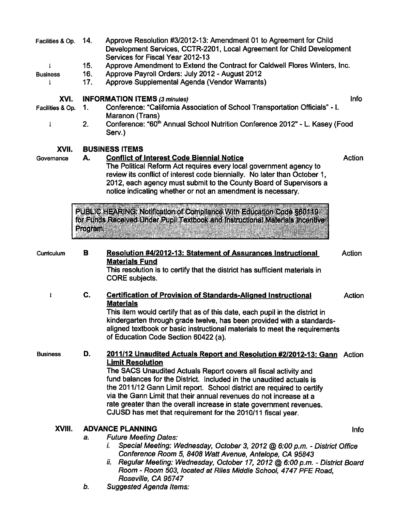| Facilities & Op. | 14.            | Approve Resolution #3/2012-13: Amendment 01 to Agreement for Child<br>Development Services, CCTR-2201, Local Agreement for Child Development<br>Services for Fiscal Year 2012-13                                      |             |  |
|------------------|----------------|-----------------------------------------------------------------------------------------------------------------------------------------------------------------------------------------------------------------------|-------------|--|
|                  | 15.            | Approve Amendment to Extend the Contract for Caldwell Flores Winters, Inc.                                                                                                                                            |             |  |
| <b>Business</b>  | 16.            | Approve Payroll Orders: July 2012 - August 2012                                                                                                                                                                       |             |  |
|                  | 17.            | Approve Supplemental Agenda (Vendor Warrants)                                                                                                                                                                         |             |  |
| XVI.             |                | <b>INFORMATION ITEMS (3 minutes)</b>                                                                                                                                                                                  | Info        |  |
| Facilities & Op. | 1.             | Conference: "California Association of School Transportation Officials" - I.<br>Maranon (Trans)                                                                                                                       |             |  |
| 1                | 2.             | Conference: "60 <sup>th</sup> Annual School Nutrition Conference 2012" - L. Kasey (Food<br>Serv.)                                                                                                                     |             |  |
| XVII.            |                | <b>BUSINESS ITEMS</b>                                                                                                                                                                                                 |             |  |
| Governance       | А.             | <b>Action</b><br><b>Conflict of Interest Code Biennial Notice</b>                                                                                                                                                     |             |  |
|                  |                | The Political Reform Act requires every local government agency to<br>review its conflict of interest code biennially. No later than October 1,<br>2012, each agency must submit to the County Board of Supervisors a |             |  |
|                  |                | notice indicating whether or not an amendment is necessary.                                                                                                                                                           |             |  |
|                  | <b>Program</b> | PUBLIC HEARING: Notification of Compliance With Education Code S60119<br>for Funds Received Under Pupil Textbook and Instructional Materials Incentive                                                                |             |  |
|                  |                |                                                                                                                                                                                                                       |             |  |
| Curriculum       | в              | <b>Resolution #4/2012-13: Statement of Assurances Instructional</b><br>Action<br><b>Materials Fund</b>                                                                                                                |             |  |
|                  |                | This resolution is to certify that the district has sufficient materials in<br><b>CORE</b> subjects.                                                                                                                  |             |  |
| 1                | C.             | <b>Certification of Provision of Standards-Aligned Instructional</b><br>Action<br><b>Materials</b>                                                                                                                    |             |  |
|                  |                | This item would certify that as of this date, each pupil in the district in                                                                                                                                           |             |  |
|                  |                | kindergarten through grade twelve, has been provided with a standards-                                                                                                                                                |             |  |
|                  |                | aligned textbook or basic instructional materials to meet the requirements<br>of Education Code Section 60422 (a).                                                                                                    |             |  |
| <b>Business</b>  | D.             | 2011/12 Unaudited Actuals Report and Resolution #2/2012-13: Gann Action                                                                                                                                               |             |  |
|                  |                | <b>Limit Resolution</b>                                                                                                                                                                                               |             |  |
|                  |                | The SACS Unaudited Actuals Report covers all fiscal activity and                                                                                                                                                      |             |  |
|                  |                | fund balances for the District. Included in the unaudited actuals is                                                                                                                                                  |             |  |
|                  |                | the 2011/12 Gann Limit report. School district are required to certify                                                                                                                                                |             |  |
|                  |                | via the Gann Limit that their annual revenues do not increase at a<br>rate greater than the overall increase in state government revenues.                                                                            |             |  |
|                  |                | CJUSD has met that requirement for the 2010/11 fiscal year.                                                                                                                                                           |             |  |
| XVIII.           |                | <b>ADVANCE PLANNING</b>                                                                                                                                                                                               | <b>Info</b> |  |
|                  | a.             | <b>Future Meeting Dates:</b>                                                                                                                                                                                          |             |  |
|                  |                | Special Meeting: Wednesday, October 3, 2012 @ 6:00 p.m. - District Office<br>L.<br>Conference Room 5, 8408 Watt Avenue, Antelope, CA 95843                                                                            |             |  |
|                  |                | Regular Meeting: Wednesday, October 17, 2012 @ 6:00 p.m. - District Board<br>ii.<br>Room - Room 503, located at Riles Middle School, 4747 PFE Road,                                                                   |             |  |
|                  |                | Roseville, CA 95747                                                                                                                                                                                                   |             |  |
|                  | b.             | <b>Suggested Agenda Items:</b>                                                                                                                                                                                        |             |  |